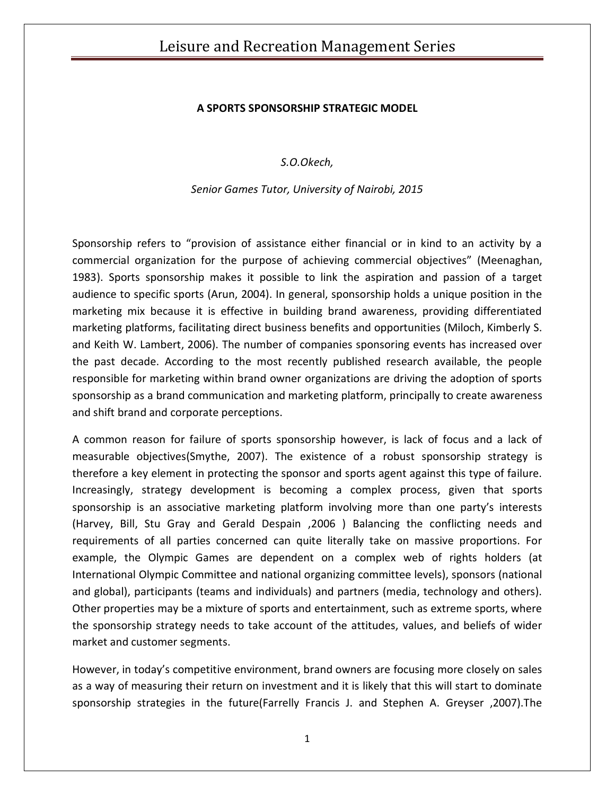## Leisure and Recreation Management Series

### **A SPORTS SPONSORSHIP STRATEGIC MODEL**

*S.O.Okech,*

*Senior Games Tutor, University of Nairobi, 2015*

Sponsorship refers to "provision of assistance either financial or in kind to an activity by a commercial organization for the purpose of achieving commercial objectives" (Meenaghan, 1983). Sports sponsorship makes it possible to link the aspiration and passion of a target audience to specific sports (Arun, 2004). In general, sponsorship holds a unique position in the marketing mix because it is effective in building brand awareness, providing differentiated marketing platforms, facilitating direct business benefits and opportunities (Miloch, Kimberly S. and Keith W. Lambert, 2006). The number of companies sponsoring events has increased over the past decade. According to the most recently published research available, the people responsible for marketing within brand owner organizations are driving the adoption of sports sponsorship as a brand communication and marketing platform, principally to create awareness and shift brand and corporate perceptions.

A common reason for failure of sports sponsorship however, is lack of focus and a lack of measurable objectives(Smythe, 2007). The existence of a robust sponsorship strategy is therefore a key element in protecting the sponsor and sports agent against this type of failure. Increasingly, strategy development is becoming a complex process, given that sports sponsorship is an associative marketing platform involving more than one party's interests (Harvey, Bill, Stu Gray and Gerald Despain ,2006 ) Balancing the conflicting needs and requirements of all parties concerned can quite literally take on massive proportions. For example, the Olympic Games are dependent on a complex web of rights holders (at International Olympic Committee and national organizing committee levels), sponsors (national and global), participants (teams and individuals) and partners (media, technology and others). Other properties may be a mixture of sports and entertainment, such as extreme sports, where the sponsorship strategy needs to take account of the attitudes, values, and beliefs of wider market and customer segments.

However, in today's competitive environment, brand owners are focusing more closely on sales as a way of measuring their return on investment and it is likely that this will start to dominate sponsorship strategies in the future(Farrelly Francis J. and Stephen A. Greyser ,2007).The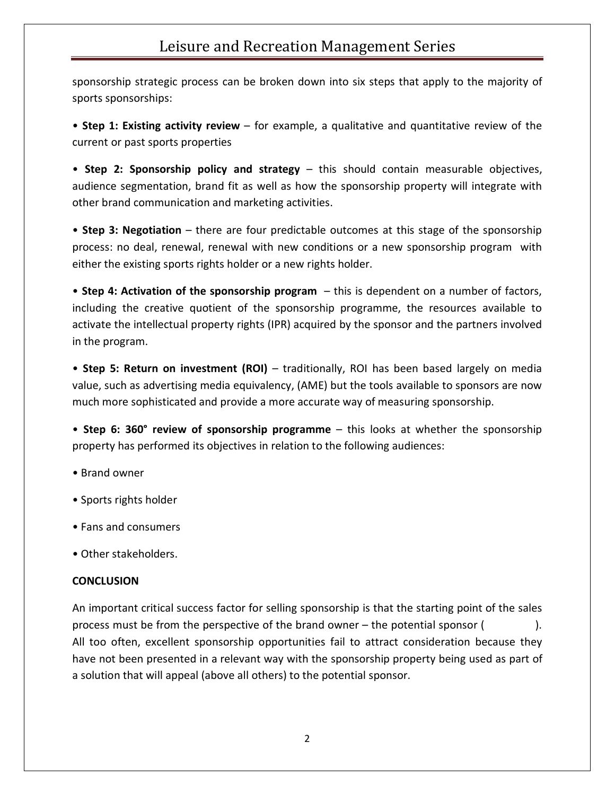# Leisure and Recreation Management Series

sponsorship strategic process can be broken down into six steps that apply to the majority of sports sponsorships:

• **Step 1: Existing activity review** – for example, a qualitative and quantitative review of the current or past sports properties

• **Step 2: Sponsorship policy and strategy** – this should contain measurable objectives, audience segmentation, brand fit as well as how the sponsorship property will integrate with other brand communication and marketing activities.

• **Step 3: Negotiation** – there are four predictable outcomes at this stage of the sponsorship process: no deal, renewal, renewal with new conditions or a new sponsorship program with either the existing sports rights holder or a new rights holder.

• **Step 4: Activation of the sponsorship program** – this is dependent on a number of factors, including the creative quotient of the sponsorship programme, the resources available to activate the intellectual property rights (IPR) acquired by the sponsor and the partners involved in the program.

• **Step 5: Return on investment (ROI)** – traditionally, ROI has been based largely on media value, such as advertising media equivalency, (AME) but the tools available to sponsors are now much more sophisticated and provide a more accurate way of measuring sponsorship.

• **Step 6: 360° review of sponsorship programme** – this looks at whether the sponsorship property has performed its objectives in relation to the following audiences:

- Brand owner
- Sports rights holder
- Fans and consumers
- Other stakeholders.

#### **CONCLUSION**

An important critical success factor for selling sponsorship is that the starting point of the sales process must be from the perspective of the brand owner – the potential sponsor ( ). All too often, excellent sponsorship opportunities fail to attract consideration because they have not been presented in a relevant way with the sponsorship property being used as part of a solution that will appeal (above all others) to the potential sponsor.